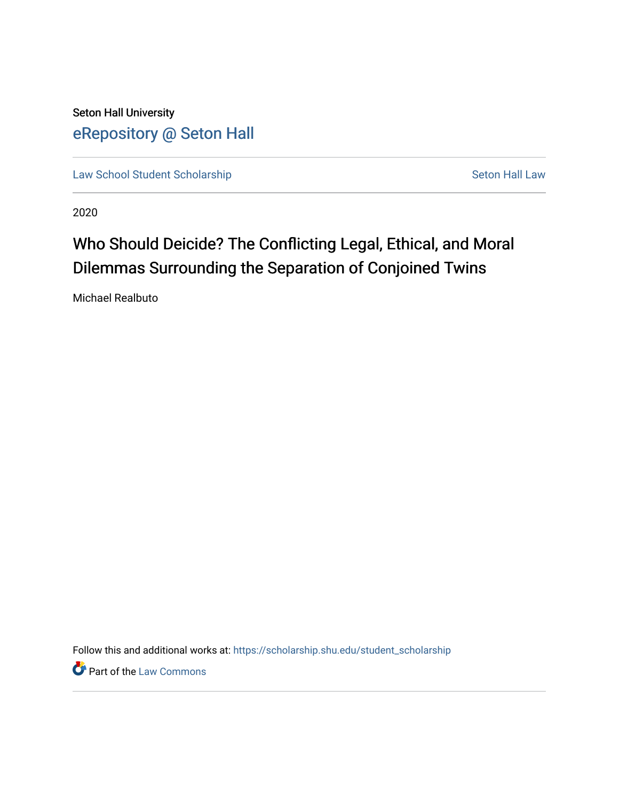Seton Hall University [eRepository @ Seton Hall](https://scholarship.shu.edu/)

[Law School Student Scholarship](https://scholarship.shu.edu/student_scholarship) Seton Hall Law

2020

# Who Should Deicide? The Conflicting Legal, Ethical, and Moral Dilemmas Surrounding the Separation of Conjoined Twins

Michael Realbuto

Follow this and additional works at: [https://scholarship.shu.edu/student\\_scholarship](https://scholarship.shu.edu/student_scholarship?utm_source=scholarship.shu.edu%2Fstudent_scholarship%2F1095&utm_medium=PDF&utm_campaign=PDFCoverPages) 

**Part of the [Law Commons](http://network.bepress.com/hgg/discipline/578?utm_source=scholarship.shu.edu%2Fstudent_scholarship%2F1095&utm_medium=PDF&utm_campaign=PDFCoverPages)**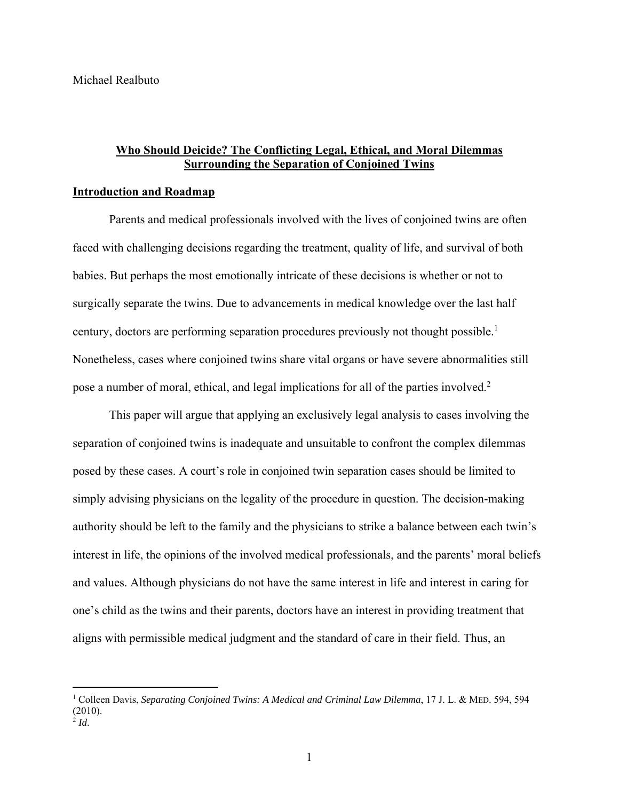# **Who Should Deicide? The Conflicting Legal, Ethical, and Moral Dilemmas Surrounding the Separation of Conjoined Twins**

### **Introduction and Roadmap**

 Parents and medical professionals involved with the lives of conjoined twins are often faced with challenging decisions regarding the treatment, quality of life, and survival of both babies. But perhaps the most emotionally intricate of these decisions is whether or not to surgically separate the twins. Due to advancements in medical knowledge over the last half century, doctors are performing separation procedures previously not thought possible.<sup>1</sup> Nonetheless, cases where conjoined twins share vital organs or have severe abnormalities still pose a number of moral, ethical, and legal implications for all of the parties involved.<sup>2</sup>

This paper will argue that applying an exclusively legal analysis to cases involving the separation of conjoined twins is inadequate and unsuitable to confront the complex dilemmas posed by these cases. A court's role in conjoined twin separation cases should be limited to simply advising physicians on the legality of the procedure in question. The decision-making authority should be left to the family and the physicians to strike a balance between each twin's interest in life, the opinions of the involved medical professionals, and the parents' moral beliefs and values. Although physicians do not have the same interest in life and interest in caring for one's child as the twins and their parents, doctors have an interest in providing treatment that aligns with permissible medical judgment and the standard of care in their field. Thus, an

<sup>&</sup>lt;sup>1</sup> Colleen Davis, *Separating Conjoined Twins: A Medical and Criminal Law Dilemma*, 17 J. L. & MED. 594, 594 (2010).

<sup>2</sup> *Id*.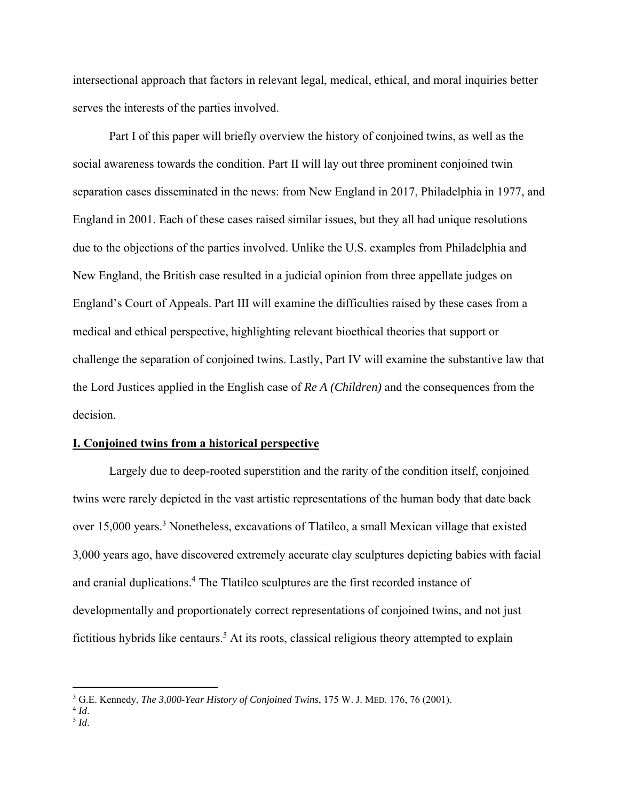intersectional approach that factors in relevant legal, medical, ethical, and moral inquiries better serves the interests of the parties involved.

 Part I of this paper will briefly overview the history of conjoined twins, as well as the social awareness towards the condition. Part II will lay out three prominent conjoined twin separation cases disseminated in the news: from New England in 2017, Philadelphia in 1977, and England in 2001. Each of these cases raised similar issues, but they all had unique resolutions due to the objections of the parties involved. Unlike the U.S. examples from Philadelphia and New England, the British case resulted in a judicial opinion from three appellate judges on England's Court of Appeals. Part III will examine the difficulties raised by these cases from a medical and ethical perspective, highlighting relevant bioethical theories that support or challenge the separation of conjoined twins. Lastly, Part IV will examine the substantive law that the Lord Justices applied in the English case of *Re A (Children)* and the consequences from the decision.

#### **I. Conjoined twins from a historical perspective**

Largely due to deep-rooted superstition and the rarity of the condition itself, conjoined twins were rarely depicted in the vast artistic representations of the human body that date back over 15,000 years.<sup>3</sup> Nonetheless, excavations of Tlatilco, a small Mexican village that existed 3,000 years ago, have discovered extremely accurate clay sculptures depicting babies with facial and cranial duplications.<sup>4</sup> The Tlatilco sculptures are the first recorded instance of developmentally and proportionately correct representations of conjoined twins, and not just fictitious hybrids like centaurs.<sup>5</sup> At its roots, classical religious theory attempted to explain

<sup>&</sup>lt;sup>3</sup> G.E. Kennedy, *The 3,000-Year History of Conjoined Twins*, 175 W. J. MED. 176, 76 (2001). <sup>4</sup> Id

 $^{4}$  *Id*.  $^{5}$  *Id*.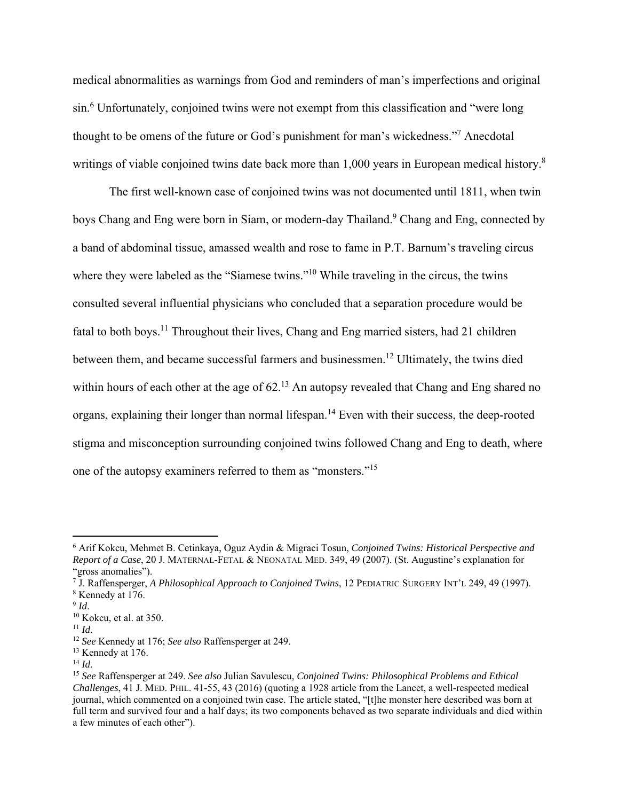medical abnormalities as warnings from God and reminders of man's imperfections and original sin.<sup>6</sup> Unfortunately, conjoined twins were not exempt from this classification and "were long thought to be omens of the future or God's punishment for man's wickedness."7 Anecdotal writings of viable conjoined twins date back more than 1,000 years in European medical history.<sup>8</sup>

The first well-known case of conjoined twins was not documented until 1811, when twin boys Chang and Eng were born in Siam, or modern-day Thailand.<sup>9</sup> Chang and Eng, connected by a band of abdominal tissue, amassed wealth and rose to fame in P.T. Barnum's traveling circus where they were labeled as the "Siamese twins."<sup>10</sup> While traveling in the circus, the twins consulted several influential physicians who concluded that a separation procedure would be fatal to both boys.<sup>11</sup> Throughout their lives, Chang and Eng married sisters, had 21 children between them, and became successful farmers and businessmen.<sup>12</sup> Ultimately, the twins died within hours of each other at the age of  $62<sup>13</sup>$  An autopsy revealed that Chang and Eng shared no organs, explaining their longer than normal lifespan.14 Even with their success, the deep-rooted stigma and misconception surrounding conjoined twins followed Chang and Eng to death, where one of the autopsy examiners referred to them as "monsters."15

<sup>6</sup> Arif Kokcu, Mehmet B. Cetinkaya, Oguz Aydin & Migraci Tosun, *Conjoined Twins: Historical Perspective and Report of a Case*, 20 J. MATERNAL-FETAL & NEONATAL MED. 349, 49 (2007). (St. Augustine's explanation for "gross anomalies").

<sup>7</sup> J. Raffensperger, *A Philosophical Approach to Conjoined Twins*, 12 PEDIATRIC SURGERY INT'L 249, 49 (1997).

<sup>8</sup> Kennedy at 176.

<sup>&</sup>lt;sup>9</sup> *Id.* 10 Kokcu, et al. at 350.<br><sup>11</sup> *Id.* 

<sup>11</sup> *Id*. 12 *See* Kennedy at 176; *See also* Raffensperger at 249.

<sup>&</sup>lt;sup>13</sup> Kennedy at 176.

<sup>14</sup> *Id*. 15 *See* Raffensperger at 249. *See also* Julian Savulescu, *Conjoined Twins: Philosophical Problems and Ethical Challenges*, 41 J. MED. PHIL. 41-55, 43 (2016) (quoting a 1928 article from the Lancet, a well-respected medical journal, which commented on a conjoined twin case. The article stated, "[t]he monster here described was born at full term and survived four and a half days; its two components behaved as two separate individuals and died within a few minutes of each other").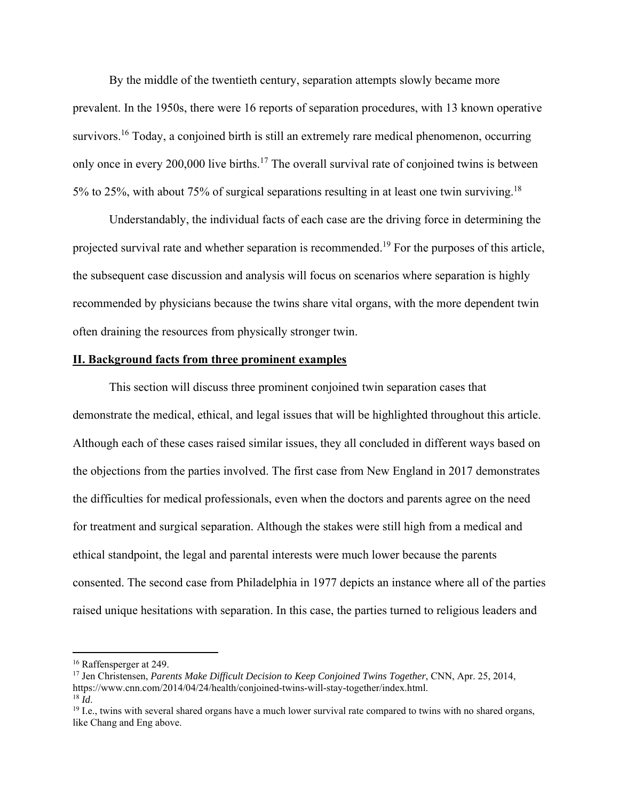By the middle of the twentieth century, separation attempts slowly became more prevalent. In the 1950s, there were 16 reports of separation procedures, with 13 known operative survivors.<sup>16</sup> Today, a conjoined birth is still an extremely rare medical phenomenon, occurring only once in every 200,000 live births.<sup>17</sup> The overall survival rate of conjoined twins is between 5% to 25%, with about 75% of surgical separations resulting in at least one twin surviving.18

Understandably, the individual facts of each case are the driving force in determining the projected survival rate and whether separation is recommended.<sup>19</sup> For the purposes of this article, the subsequent case discussion and analysis will focus on scenarios where separation is highly recommended by physicians because the twins share vital organs, with the more dependent twin often draining the resources from physically stronger twin.

## **II. Background facts from three prominent examples**

 This section will discuss three prominent conjoined twin separation cases that demonstrate the medical, ethical, and legal issues that will be highlighted throughout this article. Although each of these cases raised similar issues, they all concluded in different ways based on the objections from the parties involved. The first case from New England in 2017 demonstrates the difficulties for medical professionals, even when the doctors and parents agree on the need for treatment and surgical separation. Although the stakes were still high from a medical and ethical standpoint, the legal and parental interests were much lower because the parents consented. The second case from Philadelphia in 1977 depicts an instance where all of the parties raised unique hesitations with separation. In this case, the parties turned to religious leaders and

<sup>&</sup>lt;sup>16</sup> Raffensperger at 249.

<sup>&</sup>lt;sup>17</sup> Jen Christensen, *Parents Make Difficult Decision to Keep Conjoined Twins Together*, CNN, Apr. 25, 2014, https://www.cnn.com/2014/04/24/health/conjoined-twins-will-stay-together/index.html.

<sup>&</sup>lt;sup>18</sup> *Id*.<br><sup>19</sup> I.e., twins with several shared organs have a much lower survival rate compared to twins with no shared organs, like Chang and Eng above.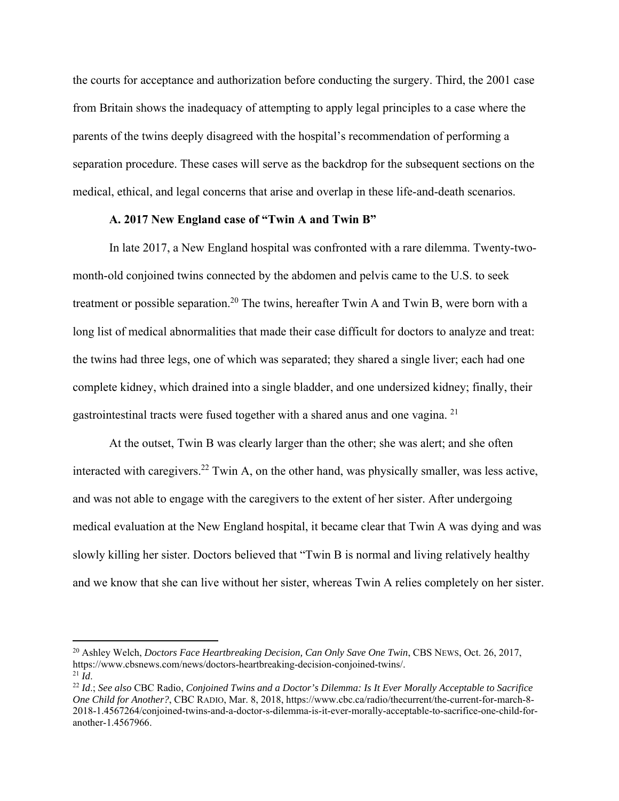the courts for acceptance and authorization before conducting the surgery. Third, the 2001 case from Britain shows the inadequacy of attempting to apply legal principles to a case where the parents of the twins deeply disagreed with the hospital's recommendation of performing a separation procedure. These cases will serve as the backdrop for the subsequent sections on the medical, ethical, and legal concerns that arise and overlap in these life-and-death scenarios.

## **A. 2017 New England case of "Twin A and Twin B"**

In late 2017, a New England hospital was confronted with a rare dilemma. Twenty-twomonth-old conjoined twins connected by the abdomen and pelvis came to the U.S. to seek treatment or possible separation.<sup>20</sup> The twins, hereafter Twin A and Twin B, were born with a long list of medical abnormalities that made their case difficult for doctors to analyze and treat: the twins had three legs, one of which was separated; they shared a single liver; each had one complete kidney, which drained into a single bladder, and one undersized kidney; finally, their gastrointestinal tracts were fused together with a shared anus and one vagina. 21

At the outset, Twin B was clearly larger than the other; she was alert; and she often interacted with caregivers.<sup>22</sup> Twin A, on the other hand, was physically smaller, was less active, and was not able to engage with the caregivers to the extent of her sister. After undergoing medical evaluation at the New England hospital, it became clear that Twin A was dying and was slowly killing her sister. Doctors believed that "Twin B is normal and living relatively healthy and we know that she can live without her sister, whereas Twin A relies completely on her sister.

<sup>&</sup>lt;sup>20</sup> Ashley Welch, *Doctors Face Heartbreaking Decision, Can Only Save One Twin*, CBS NEWS, Oct. 26, 2017, https://www.cbsnews.com/news/doctors-heartbreaking-decision-conjoined-twins/.

<sup>&</sup>lt;sup>21</sup> Id.<br><sup>22</sup> Id.; See also CBC Radio, *Conjoined Twins and a Doctor's Dilemma: Is It Ever Morally Acceptable to Sacrifice One Child for Another?*, CBC RADIO, Mar. 8, 2018, https://www.cbc.ca/radio/thecurrent/the-current-for-march-8- 2018-1.4567264/conjoined-twins-and-a-doctor-s-dilemma-is-it-ever-morally-acceptable-to-sacrifice-one-child-foranother-1.4567966.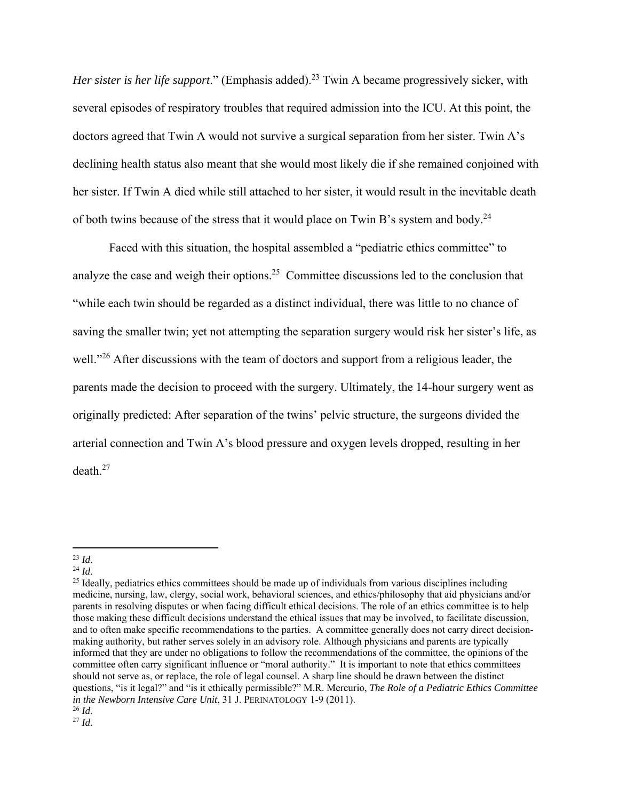*Her sister is her life support.*" (Emphasis added).<sup>23</sup> Twin A became progressively sicker, with several episodes of respiratory troubles that required admission into the ICU. At this point, the doctors agreed that Twin A would not survive a surgical separation from her sister. Twin A's declining health status also meant that she would most likely die if she remained conjoined with her sister. If Twin A died while still attached to her sister, it would result in the inevitable death of both twins because of the stress that it would place on Twin B's system and body.24

Faced with this situation, the hospital assembled a "pediatric ethics committee" to analyze the case and weigh their options.<sup>25</sup> Committee discussions led to the conclusion that "while each twin should be regarded as a distinct individual, there was little to no chance of saving the smaller twin; yet not attempting the separation surgery would risk her sister's life, as well."<sup>26</sup> After discussions with the team of doctors and support from a religious leader, the parents made the decision to proceed with the surgery. Ultimately, the 14-hour surgery went as originally predicted: After separation of the twins' pelvic structure, the surgeons divided the arterial connection and Twin A's blood pressure and oxygen levels dropped, resulting in her death.27

<sup>&</sup>lt;sup>23</sup> *Id.* <sup>24</sup> *Id.* 25 *Ideally*, pediatrics ethics committees should be made up of individuals from various disciplines including <sup>25</sup> Ideally, pediatrics ethics committees should be made up of individuals from various medicine, nursing, law, clergy, social work, behavioral sciences, and ethics/philosophy that aid physicians and/or parents in resolving disputes or when facing difficult ethical decisions. The role of an ethics committee is to help those making these difficult decisions understand the ethical issues that may be involved, to facilitate discussion, and to often make specific recommendations to the parties. A committee generally does not carry direct decisionmaking authority, but rather serves solely in an advisory role. Although physicians and parents are typically informed that they are under no obligations to follow the recommendations of the committee, the opinions of the committee often carry significant influence or "moral authority." It is important to note that ethics committees should not serve as, or replace, the role of legal counsel. A sharp line should be drawn between the distinct questions, "is it legal?" and "is it ethically permissible?" M.R. Mercurio, *The Role of a Pediatric Ethics Committee in the Newborn Intensive Care Unit*, 31 J. PERINATOLOGY 1-9 (2011).

<sup>26</sup> *Id*. 27 *Id*.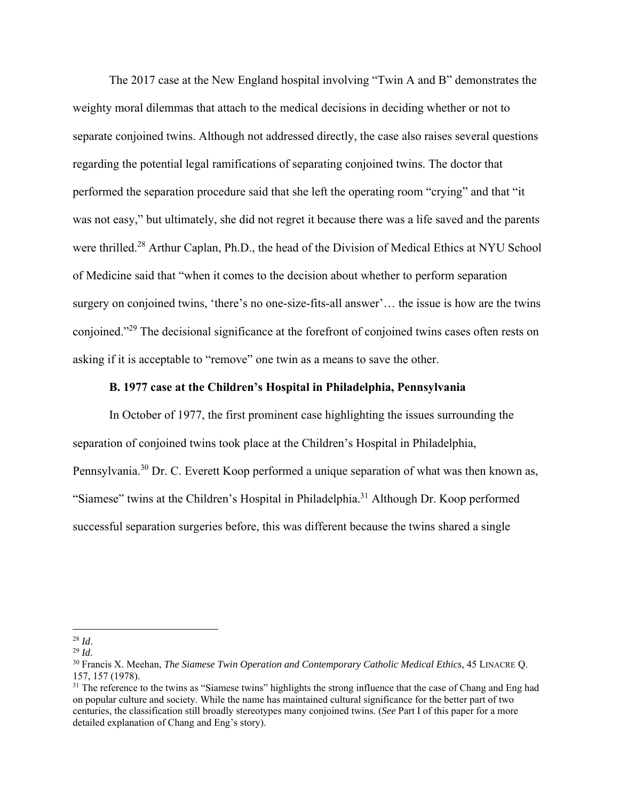The 2017 case at the New England hospital involving "Twin A and B" demonstrates the weighty moral dilemmas that attach to the medical decisions in deciding whether or not to separate conjoined twins. Although not addressed directly, the case also raises several questions regarding the potential legal ramifications of separating conjoined twins. The doctor that performed the separation procedure said that she left the operating room "crying" and that "it was not easy," but ultimately, she did not regret it because there was a life saved and the parents were thrilled.<sup>28</sup> Arthur Caplan, Ph.D., the head of the Division of Medical Ethics at NYU School of Medicine said that "when it comes to the decision about whether to perform separation surgery on conjoined twins, 'there's no one-size-fits-all answer'… the issue is how are the twins conjoined."29 The decisional significance at the forefront of conjoined twins cases often rests on asking if it is acceptable to "remove" one twin as a means to save the other.

## **B. 1977 case at the Children's Hospital in Philadelphia, Pennsylvania**

In October of 1977, the first prominent case highlighting the issues surrounding the separation of conjoined twins took place at the Children's Hospital in Philadelphia, Pennsylvania.<sup>30</sup> Dr. C. Everett Koop performed a unique separation of what was then known as, "Siamese" twins at the Children's Hospital in Philadelphia.<sup>31</sup> Although Dr. Koop performed successful separation surgeries before, this was different because the twins shared a single

<sup>28</sup> *Id*. 29 *Id*.

<sup>30</sup> Francis X. Meehan, *The Siamese Twin Operation and Contemporary Catholic Medical Ethics*, 45 LINACRE Q. 157, 157 (1978).

<sup>&</sup>lt;sup>31</sup> The reference to the twins as "Siamese twins" highlights the strong influence that the case of Chang and Eng had on popular culture and society. While the name has maintained cultural significance for the better part of two centuries, the classification still broadly stereotypes many conjoined twins. (*See* Part I of this paper for a more detailed explanation of Chang and Eng's story).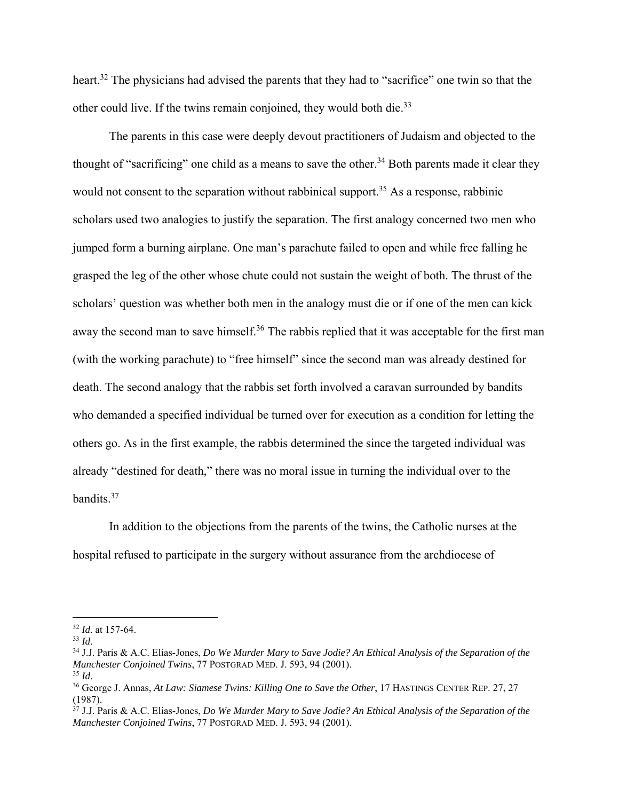heart.32 The physicians had advised the parents that they had to "sacrifice" one twin so that the other could live. If the twins remain conjoined, they would both die.<sup>33</sup>

The parents in this case were deeply devout practitioners of Judaism and objected to the thought of "sacrificing" one child as a means to save the other.<sup>34</sup> Both parents made it clear they would not consent to the separation without rabbinical support.<sup>35</sup> As a response, rabbinic scholars used two analogies to justify the separation. The first analogy concerned two men who jumped form a burning airplane. One man's parachute failed to open and while free falling he grasped the leg of the other whose chute could not sustain the weight of both. The thrust of the scholars' question was whether both men in the analogy must die or if one of the men can kick away the second man to save himself.<sup>36</sup> The rabbis replied that it was acceptable for the first man (with the working parachute) to "free himself" since the second man was already destined for death. The second analogy that the rabbis set forth involved a caravan surrounded by bandits who demanded a specified individual be turned over for execution as a condition for letting the others go. As in the first example, the rabbis determined the since the targeted individual was already "destined for death," there was no moral issue in turning the individual over to the bandits.37

In addition to the objections from the parents of the twins, the Catholic nurses at the hospital refused to participate in the surgery without assurance from the archdiocese of

<sup>&</sup>lt;sup>32</sup> *Id.* at 157-64.<br><sup>33</sup> *Id.* 

<sup>33</sup> *Id*. 34 J.J. Paris & A.C. Elias-Jones, *Do We Murder Mary to Save Jodie? An Ethical Analysis of the Separation of the Manchester Conjoined Twins*, 77 POSTGRAD MED. J. 593, 94 (2001).

<sup>35</sup> *Id*.

<sup>36</sup> George J. Annas, *At Law: Siamese Twins: Killing One to Save the Other*, 17 HASTINGS CENTER REP. 27, 27 (1987).

<sup>37</sup> J.J. Paris & A.C. Elias-Jones, *Do We Murder Mary to Save Jodie? An Ethical Analysis of the Separation of the Manchester Conjoined Twins*, 77 POSTGRAD MED. J. 593, 94 (2001).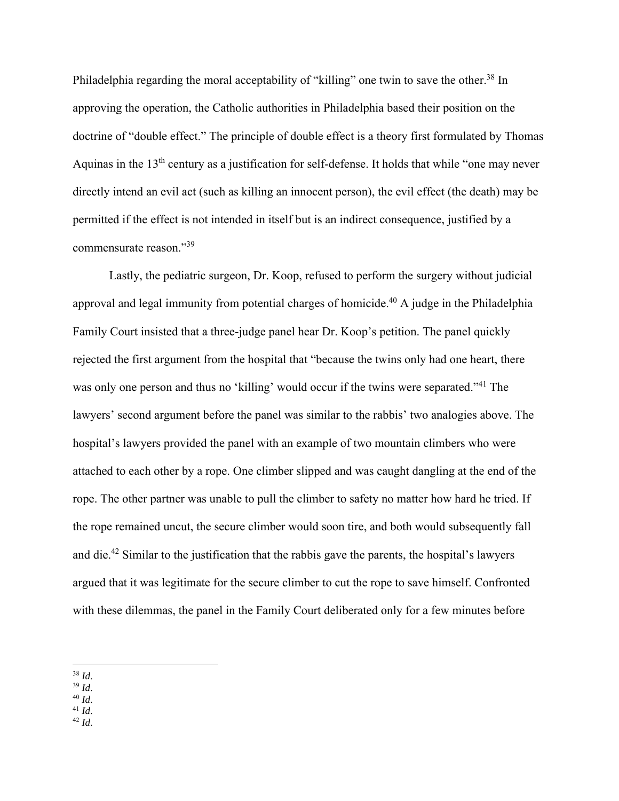Philadelphia regarding the moral acceptability of "killing" one twin to save the other.<sup>38</sup> In approving the operation, the Catholic authorities in Philadelphia based their position on the doctrine of "double effect." The principle of double effect is a theory first formulated by Thomas Aquinas in the 13<sup>th</sup> century as a justification for self-defense. It holds that while "one may never directly intend an evil act (such as killing an innocent person), the evil effect (the death) may be permitted if the effect is not intended in itself but is an indirect consequence, justified by a commensurate reason."39

Lastly, the pediatric surgeon, Dr. Koop, refused to perform the surgery without judicial approval and legal immunity from potential charges of homicide.<sup>40</sup> A judge in the Philadelphia Family Court insisted that a three-judge panel hear Dr. Koop's petition. The panel quickly rejected the first argument from the hospital that "because the twins only had one heart, there was only one person and thus no 'killing' would occur if the twins were separated."<sup>41</sup> The lawyers' second argument before the panel was similar to the rabbis' two analogies above. The hospital's lawyers provided the panel with an example of two mountain climbers who were attached to each other by a rope. One climber slipped and was caught dangling at the end of the rope. The other partner was unable to pull the climber to safety no matter how hard he tried. If the rope remained uncut, the secure climber would soon tire, and both would subsequently fall and die.42 Similar to the justification that the rabbis gave the parents, the hospital's lawyers argued that it was legitimate for the secure climber to cut the rope to save himself. Confronted with these dilemmas, the panel in the Family Court deliberated only for a few minutes before

- 
- 
- 38 *Id*. 39 *Id*. 40 *Id*. 41 *Id*. 42 *Id*.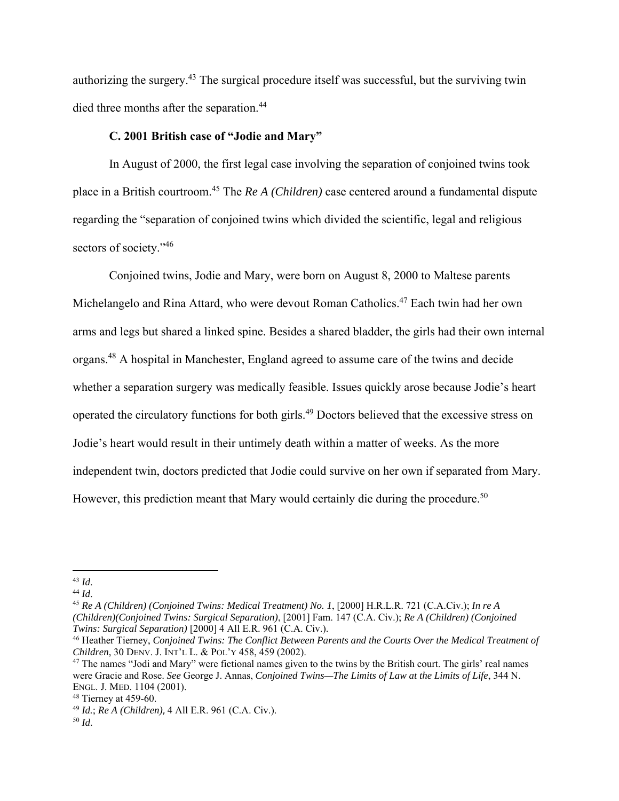authorizing the surgery.43 The surgical procedure itself was successful, but the surviving twin died three months after the separation.<sup>44</sup>

# **C. 2001 British case of "Jodie and Mary"**

In August of 2000, the first legal case involving the separation of conjoined twins took place in a British courtroom.45 The *Re A (Children)* case centered around a fundamental dispute regarding the "separation of conjoined twins which divided the scientific, legal and religious sectors of society."<sup>46</sup>

Conjoined twins, Jodie and Mary, were born on August 8, 2000 to Maltese parents Michelangelo and Rina Attard, who were devout Roman Catholics.<sup>47</sup> Each twin had her own arms and legs but shared a linked spine. Besides a shared bladder, the girls had their own internal organs.48 A hospital in Manchester, England agreed to assume care of the twins and decide whether a separation surgery was medically feasible. Issues quickly arose because Jodie's heart operated the circulatory functions for both girls.49 Doctors believed that the excessive stress on Jodie's heart would result in their untimely death within a matter of weeks. As the more independent twin, doctors predicted that Jodie could survive on her own if separated from Mary. However, this prediction meant that Mary would certainly die during the procedure.<sup>50</sup>

<sup>43</sup> *Id*. 44 *Id*. 45 *Re A (Children) (Conjoined Twins: Medical Treatment) No. 1*, [2000] H.R.L.R. 721 (C.A.Civ.); *In re A (Children)(Conjoined Twins: Surgical Separation)*, [2001] Fam. 147 (C.A. Civ.); *Re A (Children) (Conjoined Twins: Surgical Separation)* [2000] 4 All E.R. 961 (C.A. Civ.).

<sup>46</sup> Heather Tierney, *Conjoined Twins: The Conflict Between Parents and the Courts Over the Medical Treatment of Children*, 30 DENV. J. INT'L L. & POL'Y 458, 459 (2002).

<sup>&</sup>lt;sup>47</sup> The names "Jodi and Mary" were fictional names given to the twins by the British court. The girls' real names were Gracie and Rose. *See* George J. Annas, *Conjoined Twins—The Limits of Law at the Limits of Life*, 344 N. ENGL. J. MED. 1104 (2001).

 $48$  Tierney at 459-60.

<sup>49</sup> *Id.*; *Re A (Children)*, 4 All E.R. 961 (C.A. Civ.).

<sup>50</sup> *Id*.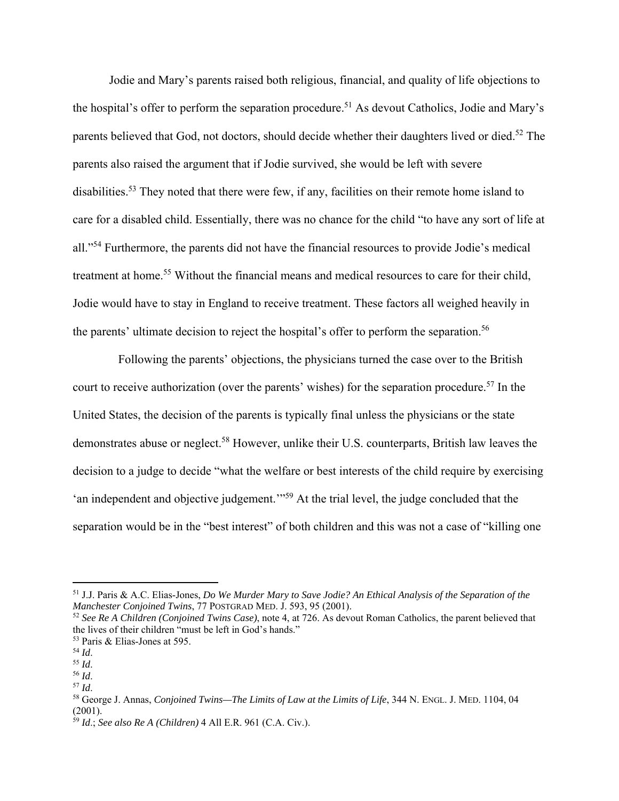Jodie and Mary's parents raised both religious, financial, and quality of life objections to the hospital's offer to perform the separation procedure.<sup>51</sup> As devout Catholics, Jodie and Mary's parents believed that God, not doctors, should decide whether their daughters lived or died.<sup>52</sup> The parents also raised the argument that if Jodie survived, she would be left with severe disabilities.<sup>53</sup> They noted that there were few, if any, facilities on their remote home island to care for a disabled child. Essentially, there was no chance for the child "to have any sort of life at all."54 Furthermore, the parents did not have the financial resources to provide Jodie's medical treatment at home.<sup>55</sup> Without the financial means and medical resources to care for their child, Jodie would have to stay in England to receive treatment. These factors all weighed heavily in the parents' ultimate decision to reject the hospital's offer to perform the separation.<sup>56</sup>

 Following the parents' objections, the physicians turned the case over to the British court to receive authorization (over the parents' wishes) for the separation procedure.<sup>57</sup> In the United States, the decision of the parents is typically final unless the physicians or the state demonstrates abuse or neglect.<sup>58</sup> However, unlike their U.S. counterparts, British law leaves the decision to a judge to decide "what the welfare or best interests of the child require by exercising 'an independent and objective judgement.'"59 At the trial level, the judge concluded that the separation would be in the "best interest" of both children and this was not a case of "killing one

<sup>51</sup> J.J. Paris & A.C. Elias-Jones, *Do We Murder Mary to Save Jodie? An Ethical Analysis of the Separation of the Manchester Conjoined Twins*, 77 POSTGRAD MED. J. 593, 95 (2001).

<sup>52</sup> *See Re A Children (Conjoined Twins Case)*, note 4, at 726. As devout Roman Catholics, the parent believed that the lives of their children "must be left in God's hands."

<sup>&</sup>lt;sup>53</sup> Paris & Elias-Jones at 595.<br><sup>54</sup> *Id.* 

<sup>54</sup> *Id*. 55 *Id*. 56 *Id*. 57 *Id*.

<sup>58</sup> George J. Annas, *Conjoined Twins—The Limits of Law at the Limits of Life*, 344 N. ENGL. J. MED. 1104, 04  $(2001).$ 

<sup>59</sup> *Id*.; *See also Re A (Children)* 4 All E.R. 961 (C.A. Civ.).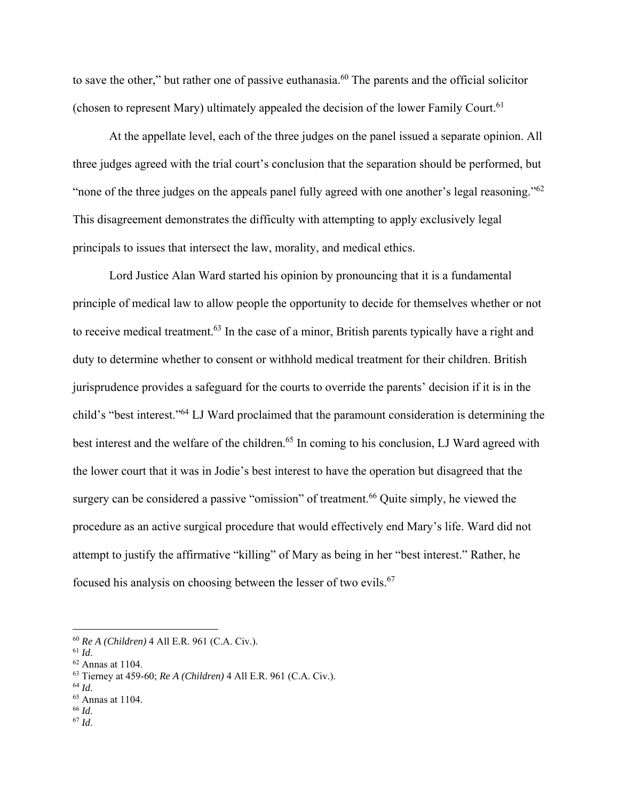to save the other," but rather one of passive euthanasia.<sup>60</sup> The parents and the official solicitor (chosen to represent Mary) ultimately appealed the decision of the lower Family Court.<sup>61</sup>

At the appellate level, each of the three judges on the panel issued a separate opinion. All three judges agreed with the trial court's conclusion that the separation should be performed, but " none of the three judges on the appeals panel fully agreed with one another's legal reasoning."<sup>62</sup> This disagreement demonstrates the difficulty with attempting to apply exclusively legal principals to issues that intersect the law, morality, and medical ethics.

 Lord Justice Alan Ward started his opinion by pronouncing that it is a fundamental principle of medical law to allow people the opportunity to decide for themselves whether or not to receive medical treatment.<sup>63</sup> In the case of a minor, British parents typically have a right and duty to determine whether to consent or withhold medical treatment for their children. British jurisprudence provides a safeguard for the courts to override the parents' decision if it is in the child's "best interest."64 LJ Ward proclaimed that the paramount consideration is determining the best interest and the welfare of the children.<sup>65</sup> In coming to his conclusion, LJ Ward agreed with the lower court that it was in Jodie's best interest to have the operation but disagreed that the surgery can be considered a passive "omission" of treatment.<sup>66</sup> Quite simply, he viewed the procedure as an active surgical procedure that would effectively end Mary's life. Ward did not attempt to justify the affirmative "killing" of Mary as being in her "best interest." Rather, he focused his analysis on choosing between the lesser of two evils.<sup>67</sup>

<sup>60</sup> *Re A (Children)* 4 All E.R. 961 (C.A. Civ.).

<sup>61</sup> *Id*. 62 Annas at 1104.

<sup>63</sup> Tierney at 459-60; *Re A (Children)* 4 All E.R. 961 (C.A. Civ.).

<sup>64</sup> *Id*.

 $^{65}$  Annas at 1104.<br> $^{66}$  *Id.* 

 $67$  *Id.*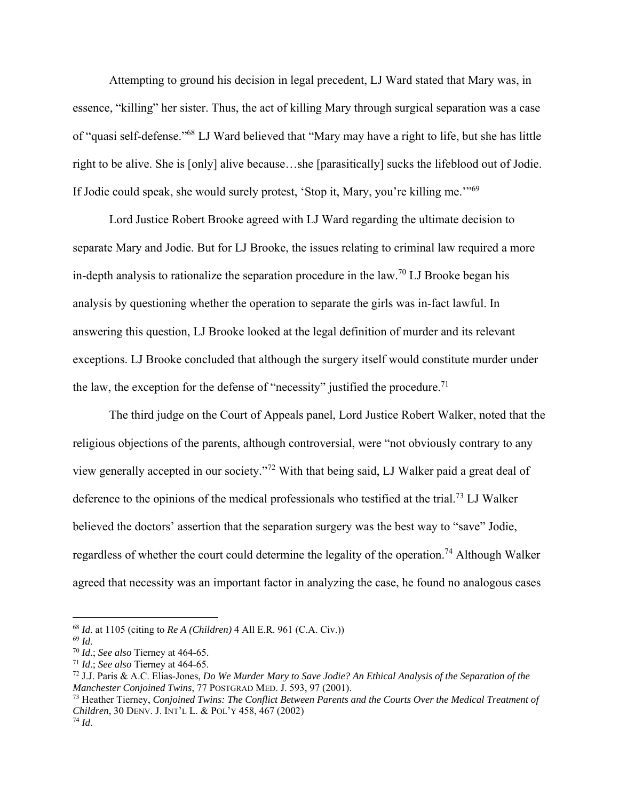Attempting to ground his decision in legal precedent, LJ Ward stated that Mary was, in essence, "killing" her sister. Thus, the act of killing Mary through surgical separation was a case of "quasi self-defense."68 LJ Ward believed that "Mary may have a right to life, but she has little right to be alive. She is [only] alive because…she [parasitically] sucks the lifeblood out of Jodie. If Jodie could speak, she would surely protest, 'Stop it, Mary, you're killing me.'"69

 Lord Justice Robert Brooke agreed with LJ Ward regarding the ultimate decision to separate Mary and Jodie. But for LJ Brooke, the issues relating to criminal law required a more in-depth analysis to rationalize the separation procedure in the law.<sup>70</sup> LJ Brooke began his analysis by questioning whether the operation to separate the girls was in-fact lawful. In answering this question, LJ Brooke looked at the legal definition of murder and its relevant exceptions. LJ Brooke concluded that although the surgery itself would constitute murder under the law, the exception for the defense of "necessity" justified the procedure.<sup>71</sup>

 The third judge on the Court of Appeals panel, Lord Justice Robert Walker, noted that the religious objections of the parents, although controversial, were "not obviously contrary to any view generally accepted in our society."72 With that being said, LJ Walker paid a great deal of deference to the opinions of the medical professionals who testified at the trial.<sup>73</sup> LJ Walker believed the doctors' assertion that the separation surgery was the best way to "save" Jodie, regardless of whether the court could determine the legality of the operation.<sup>74</sup> Although Walker agreed that necessity was an important factor in analyzing the case, he found no analogous cases

<sup>68</sup> *Id*. at 1105 (citing to *Re A (Children)* 4 All E.R. 961 (C.A. Civ.))

<sup>69</sup> *Id*. 70 *Id*.; *See also* Tierney at 464-65.

<sup>71</sup> *Id*.; *See also* Tierney at 464-65.

<sup>72</sup> J.J. Paris & A.C. Elias-Jones, *Do We Murder Mary to Save Jodie? An Ethical Analysis of the Separation of the Manchester Conjoined Twins*, 77 POSTGRAD MED. J. 593, 97 (2001).

<sup>73</sup> Heather Tierney, *Conjoined Twins: The Conflict Between Parents and the Courts Over the Medical Treatment of Children*, 30 DENV. J. INT'L L. & POL'Y 458, 467 (2002) <sup>74</sup> *Id*.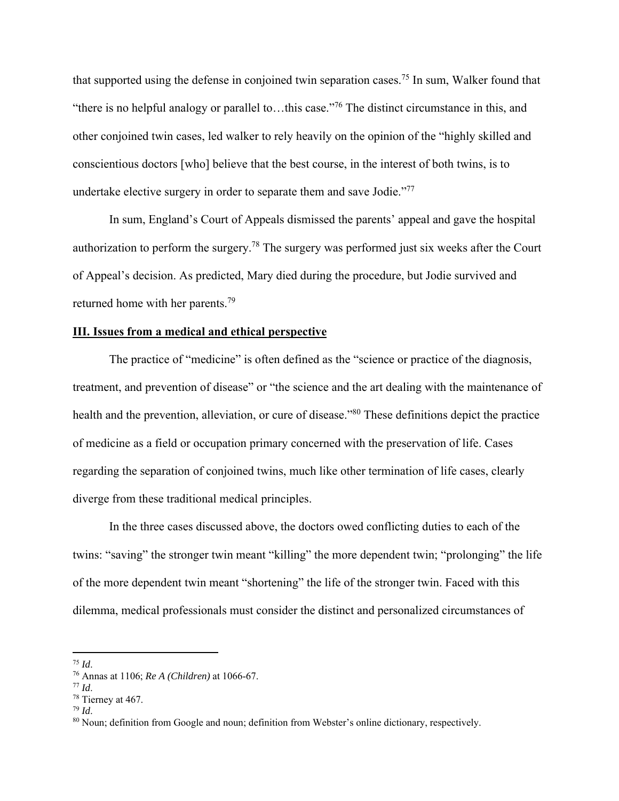that supported using the defense in conjoined twin separation cases.<sup>75</sup> In sum, Walker found that "there is no helpful analogy or parallel to…this case."76 The distinct circumstance in this, and other conjoined twin cases, led walker to rely heavily on the opinion of the "highly skilled and conscientious doctors [who] believe that the best course, in the interest of both twins, is to undertake elective surgery in order to separate them and save Jodie."<sup>77</sup>

 In sum, England's Court of Appeals dismissed the parents' appeal and gave the hospital authorization to perform the surgery.<sup>78</sup> The surgery was performed just six weeks after the Court of Appeal's decision. As predicted, Mary died during the procedure, but Jodie survived and returned home with her parents.79

# **III. Issues from a medical and ethical perspective**

 The practice of "medicine" is often defined as the "science or practice of the diagnosis, treatment, and prevention of disease" or "the science and the art dealing with the maintenance of health and the prevention, alleviation, or cure of disease."<sup>80</sup> These definitions depict the practice of medicine as a field or occupation primary concerned with the preservation of life. Cases regarding the separation of conjoined twins, much like other termination of life cases, clearly diverge from these traditional medical principles.

In the three cases discussed above, the doctors owed conflicting duties to each of the twins: "saving" the stronger twin meant "killing" the more dependent twin; "prolonging" the life of the more dependent twin meant "shortening" the life of the stronger twin. Faced with this dilemma, medical professionals must consider the distinct and personalized circumstances of

<sup>75</sup> *Id*. 76 Annas at 1106; *Re A (Children)* at 1066-67. 77 *Id*. 78 Tierney at 467.

<sup>&</sup>lt;sup>79</sup> *Id.* 80 Noun; definition from Google and noun; definition from Webster's online dictionary, respectively.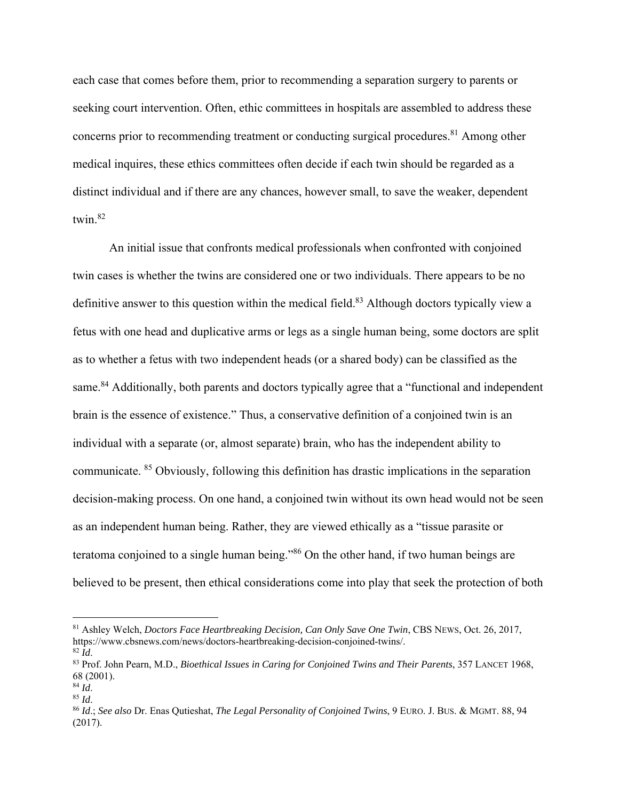each case that comes before them, prior to recommending a separation surgery to parents or seeking court intervention. Often, ethic committees in hospitals are assembled to address these concerns prior to recommending treatment or conducting surgical procedures.<sup>81</sup> Among other medical inquires, these ethics committees often decide if each twin should be regarded as a distinct individual and if there are any chances, however small, to save the weaker, dependent twin.82

An initial issue that confronts medical professionals when confronted with conjoined twin cases is whether the twins are considered one or two individuals. There appears to be no definitive answer to this question within the medical field.<sup>83</sup> Although doctors typically view a fetus with one head and duplicative arms or legs as a single human being, some doctors are split as to whether a fetus with two independent heads (or a shared body) can be classified as the same.<sup>84</sup> Additionally, both parents and doctors typically agree that a "functional and independent" brain is the essence of existence." Thus, a conservative definition of a conjoined twin is an individual with a separate (or, almost separate) brain, who has the independent ability to communicate. 85 Obviously, following this definition has drastic implications in the separation decision-making process. On one hand, a conjoined twin without its own head would not be seen as an independent human being. Rather, they are viewed ethically as a "tissue parasite or teratoma conjoined to a single human being."86 On the other hand, if two human beings are believed to be present, then ethical considerations come into play that seek the protection of both

<sup>81</sup> Ashley Welch, *Doctors Face Heartbreaking Decision, Can Only Save One Twin*, CBS NEWS, Oct. 26, 2017, https://www.cbsnews.com/news/doctors-heartbreaking-decision-conjoined-twins/.

<sup>82</sup> *Id*. 83 Prof. John Pearn, M.D., *Bioethical Issues in Caring for Conjoined Twins and Their Parents*, 357 LANCET 1968,  $68$  (2001).<br><sup>84</sup> Id.

<sup>84</sup> *Id*. 85 *Id*. 86 *Id*.; *See also* Dr. Enas Qutieshat, *The Legal Personality of Conjoined Twins*, 9 EURO. J. BUS. & MGMT. 88, 94 (2017).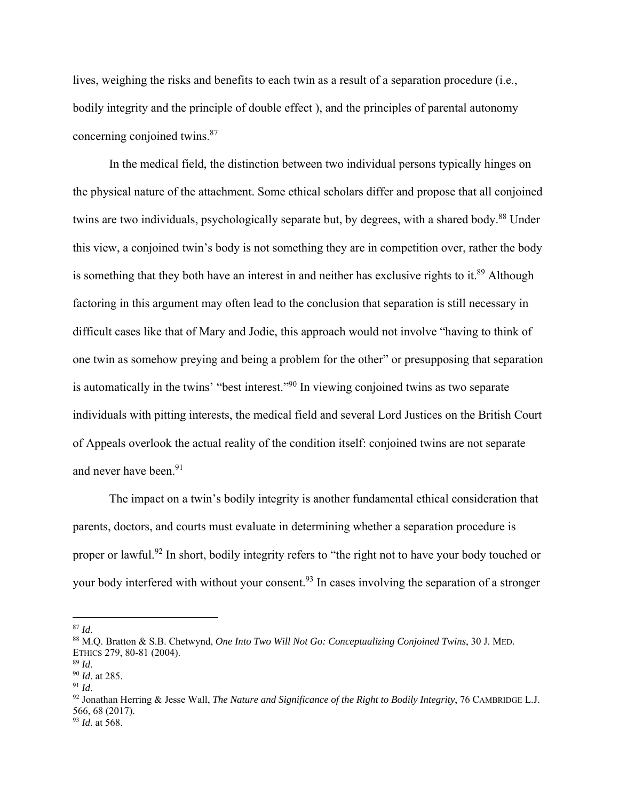lives, weighing the risks and benefits to each twin as a result of a separation procedure (i.e., bodily integrity and the principle of double effect ), and the principles of parental autonomy concerning conjoined twins.87

In the medical field, the distinction between two individual persons typically hinges on the physical nature of the attachment. Some ethical scholars differ and propose that all conjoined twins are two individuals, psychologically separate but, by degrees, with a shared body.<sup>88</sup> Under this view, a conjoined twin's body is not something they are in competition over, rather the body is something that they both have an interest in and neither has exclusive rights to it. $89$  Although factoring in this argument may often lead to the conclusion that separation is still necessary in difficult cases like that of Mary and Jodie, this approach would not involve "having to think of one twin as somehow preying and being a problem for the other" or presupposing that separation is automatically in the twins' "best interest."<sup>90</sup> In viewing conjoined twins as two separate individuals with pitting interests, the medical field and several Lord Justices on the British Court of Appeals overlook the actual reality of the condition itself: conjoined twins are not separate and never have been.<sup>91</sup>

The impact on a twin's bodily integrity is another fundamental ethical consideration that parents, doctors, and courts must evaluate in determining whether a separation procedure is proper or lawful.<sup>92</sup> In short, bodily integrity refers to "the right not to have your body touched or your body interfered with without your consent.<sup>93</sup> In cases involving the separation of a stronger

<sup>&</sup>lt;sup>87</sup> *Id.* 88 *Id.* 88 M.Q. Bratton & S.B. Chetwynd, *One Into Two Will Not Go: Conceptualizing Conjoined Twins, 30 J. MED.* ETHICS 279, 80-81 (2004).

<sup>89</sup> *Id*. 90 *Id*. at 285.

<sup>91</sup> *Id*. 92 Jonathan Herring & Jesse Wall, *The Nature and Significance of the Right to Bodily Integrity*, 76 CAMBRIDGE L.J. 566, 68 (2017). <sup>93</sup> *Id*. at 568.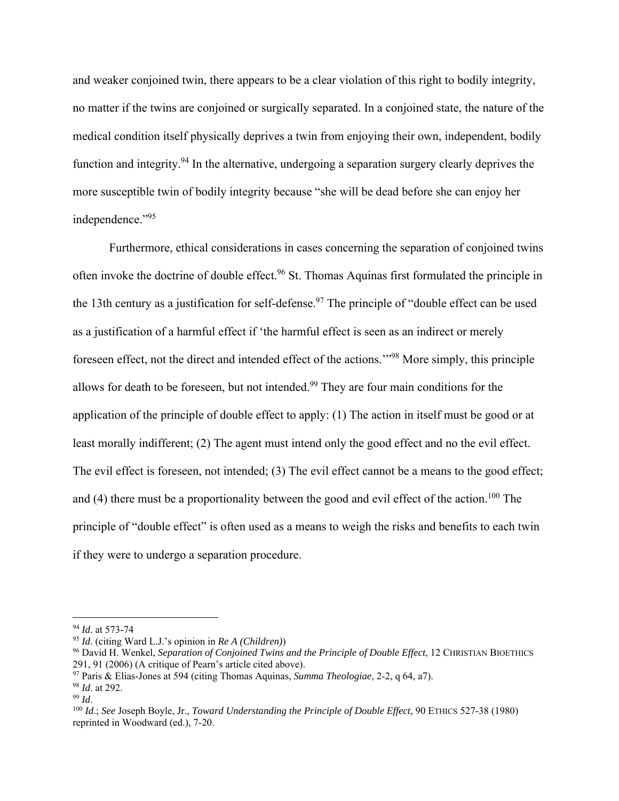and weaker conjoined twin, there appears to be a clear violation of this right to bodily integrity, no matter if the twins are conjoined or surgically separated. In a conjoined state, the nature of the medical condition itself physically deprives a twin from enjoying their own, independent, bodily function and integrity.94 In the alternative, undergoing a separation surgery clearly deprives the more susceptible twin of bodily integrity because "she will be dead before she can enjoy her independence."<sup>95</sup>

Furthermore, ethical considerations in cases concerning the separation of conjoined twins often invoke the doctrine of double effect.<sup>96</sup> St. Thomas Aquinas first formulated the principle in the 13th century as a justification for self-defense.<sup>97</sup> The principle of "double effect can be used as a justification of a harmful effect if 'the harmful effect is seen as an indirect or merely foreseen effect, not the direct and intended effect of the actions.'"98 More simply, this principle allows for death to be foreseen, but not intended.<sup>99</sup> They are four main conditions for the application of the principle of double effect to apply: (1) The action in itself must be good or at least morally indifferent; (2) The agent must intend only the good effect and no the evil effect. The evil effect is foreseen, not intended; (3) The evil effect cannot be a means to the good effect; and (4) there must be a proportionality between the good and evil effect of the action.<sup>100</sup> The principle of "double effect" is often used as a means to weigh the risks and benefits to each twin if they were to undergo a separation procedure.

<sup>94</sup> *Id*. at 573-74

<sup>95</sup> *Id*. (citing Ward L.J.'s opinion in *Re A (Children)*)

<sup>96</sup> David H. Wenkel, *Separation of Conjoined Twins and the Principle of Double Effect*, 12 CHRISTIAN BIOETHICS 291, 91 (2006) (A critique of Pearn's article cited above).

<sup>97</sup> Paris & Elias-Jones at 594 (citing Thomas Aquinas, *Summa Theologiae*, 2-2, q 64, a7).

<sup>&</sup>lt;sup>98</sup> *Id.* at 292.<br><sup>99</sup> *Id.* 

<sup>&</sup>lt;sup>100</sup> *Id*.; *See* Joseph Boyle, Jr., *Toward Understanding the Principle of Double Effect*, 90 ETHICS 527-38 (1980) reprinted in Woodward (ed.), 7-20.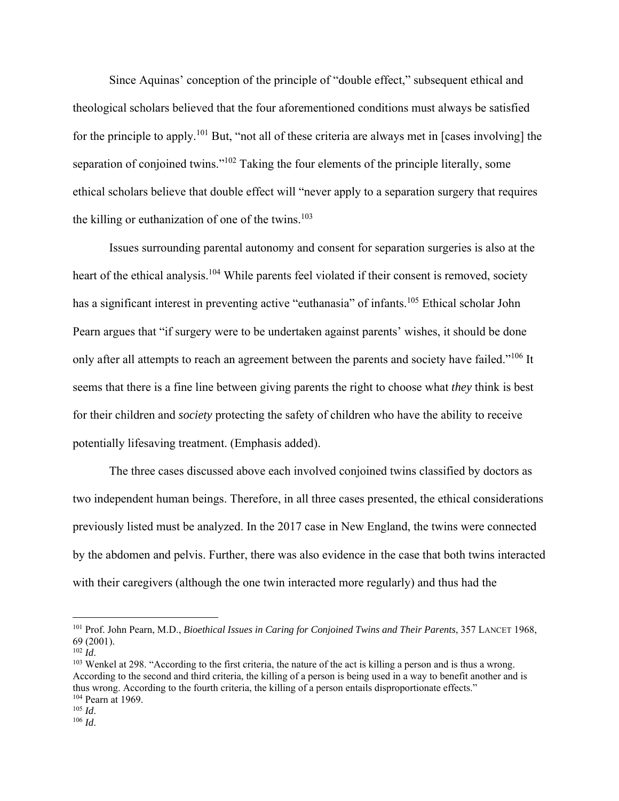Since Aquinas' conception of the principle of "double effect," subsequent ethical and theological scholars believed that the four aforementioned conditions must always be satisfied for the principle to apply.101 But, "not all of these criteria are always met in [cases involving] the separation of conjoined twins."<sup>102</sup> Taking the four elements of the principle literally, some ethical scholars believe that double effect will "never apply to a separation surgery that requires the killing or euthanization of one of the twins. $103$ 

Issues surrounding parental autonomy and consent for separation surgeries is also at the heart of the ethical analysis.<sup>104</sup> While parents feel violated if their consent is removed, society has a significant interest in preventing active "euthanasia" of infants.<sup>105</sup> Ethical scholar John Pearn argues that "if surgery were to be undertaken against parents' wishes, it should be done only after all attempts to reach an agreement between the parents and society have failed."<sup>106</sup> It seems that there is a fine line between giving parents the right to choose what *they* think is best for their children and *society* protecting the safety of children who have the ability to receive potentially lifesaving treatment. (Emphasis added).

The three cases discussed above each involved conjoined twins classified by doctors as two independent human beings. Therefore, in all three cases presented, the ethical considerations previously listed must be analyzed. In the 2017 case in New England, the twins were connected by the abdomen and pelvis. Further, there was also evidence in the case that both twins interacted with their caregivers (although the one twin interacted more regularly) and thus had the

<sup>101</sup> Prof. John Pearn, M.D., *Bioethical Issues in Caring for Conjoined Twins and Their Parents*, 357 LANCET 1968,  $69$  (2001).<br> $102$  *Id.* 

<sup>&</sup>lt;sup>103</sup> Wenkel at 298. "According to the first criteria, the nature of the act is killing a person and is thus a wrong. According to the second and third criteria, the killing of a person is being used in a way to benefit another and is thus wrong. According to the fourth criteria, the killing of a person entails disproportionate effects." <sup>104</sup> Pearn at 1969.<br><sup>105</sup> *Id*.

 $106$  *Id*.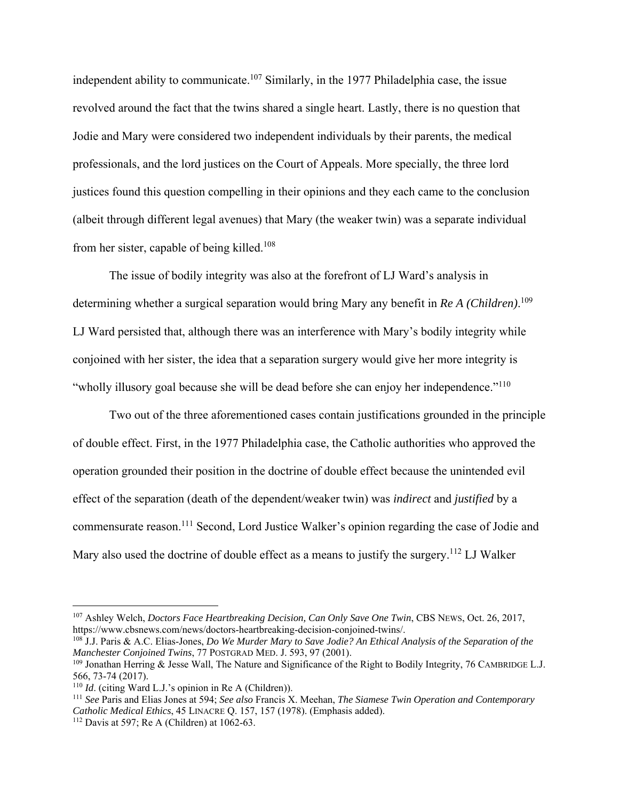independent ability to communicate.<sup>107</sup> Similarly, in the 1977 Philadelphia case, the issue revolved around the fact that the twins shared a single heart. Lastly, there is no question that Jodie and Mary were considered two independent individuals by their parents, the medical professionals, and the lord justices on the Court of Appeals. More specially, the three lord justices found this question compelling in their opinions and they each came to the conclusion (albeit through different legal avenues) that Mary (the weaker twin) was a separate individual from her sister, capable of being killed.108

The issue of bodily integrity was also at the forefront of LJ Ward's analysis in determining whether a surgical separation would bring Mary any benefit in *Re A (Children)*. 109 LJ Ward persisted that, although there was an interference with Mary's bodily integrity while conjoined with her sister, the idea that a separation surgery would give her more integrity is "wholly illusory goal because she will be dead before she can enjoy her independence."<sup>110</sup>

Two out of the three aforementioned cases contain justifications grounded in the principle of double effect. First, in the 1977 Philadelphia case, the Catholic authorities who approved the operation grounded their position in the doctrine of double effect because the unintended evil effect of the separation (death of the dependent/weaker twin) was *indirect* and *justified* by a commensurate reason.111 Second, Lord Justice Walker's opinion regarding the case of Jodie and Mary also used the doctrine of double effect as a means to justify the surgery.<sup>112</sup> LJ Walker

<sup>107</sup> Ashley Welch, *Doctors Face Heartbreaking Decision, Can Only Save One Twin*, CBS NEWS, Oct. 26, 2017, https://www.cbsnews.com/news/doctors-heartbreaking-decision-conjoined-twins/.

<sup>108</sup> J.J. Paris & A.C. Elias-Jones, *Do We Murder Mary to Save Jodie? An Ethical Analysis of the Separation of the Manchester Conjoined Twins*, 77 POSTGRAD MED. J. 593, 97 (2001).

<sup>&</sup>lt;sup>109</sup> Jonathan Herring & Jesse Wall, The Nature and Significance of the Right to Bodily Integrity, 76 CAMBRIDGE L.J. 566, 73-74 (2017).<br><sup>110</sup> *Id.* (citing Ward L.J.'s opinion in Re A (Children)).

<sup>&</sup>lt;sup>111</sup> See Paris and Elias Jones at 594; *See also* Francis X. Meehan, *The Siamese Twin Operation and Contemporary Catholic Medical Ethics*, 45 LINACRE Q. 157, 157 (1978). (Emphasis added). 112 Davis at 597; Re A (Children) at 1062-63.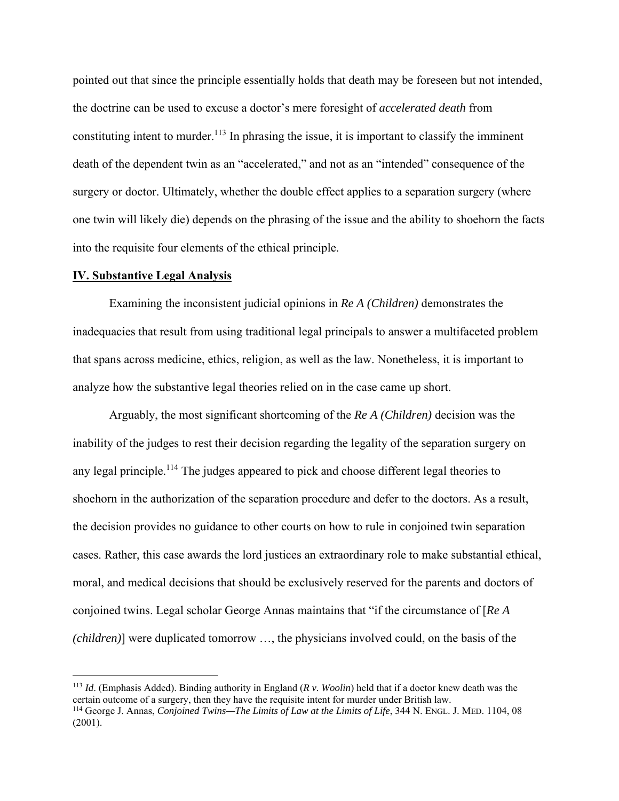pointed out that since the principle essentially holds that death may be foreseen but not intended, the doctrine can be used to excuse a doctor's mere foresight of *accelerated death* from constituting intent to murder.<sup>113</sup> In phrasing the issue, it is important to classify the imminent death of the dependent twin as an "accelerated," and not as an "intended" consequence of the surgery or doctor. Ultimately, whether the double effect applies to a separation surgery (where one twin will likely die) depends on the phrasing of the issue and the ability to shoehorn the facts into the requisite four elements of the ethical principle.

### **IV. Substantive Legal Analysis**

Examining the inconsistent judicial opinions in *Re A (Children)* demonstrates the inadequacies that result from using traditional legal principals to answer a multifaceted problem that spans across medicine, ethics, religion, as well as the law. Nonetheless, it is important to analyze how the substantive legal theories relied on in the case came up short.

Arguably, the most significant shortcoming of the *Re A (Children)* decision was the inability of the judges to rest their decision regarding the legality of the separation surgery on any legal principle.<sup>114</sup> The judges appeared to pick and choose different legal theories to shoehorn in the authorization of the separation procedure and defer to the doctors. As a result, the decision provides no guidance to other courts on how to rule in conjoined twin separation cases. Rather, this case awards the lord justices an extraordinary role to make substantial ethical, moral, and medical decisions that should be exclusively reserved for the parents and doctors of conjoined twins. Legal scholar George Annas maintains that "if the circumstance of [*Re A (children)*] were duplicated tomorrow …, the physicians involved could, on the basis of the

<sup>&</sup>lt;sup>113</sup> *Id.* (Emphasis Added). Binding authority in England ( $R v$ . *Woolin*) held that if a doctor knew death was the certain outcome of a surgery, then they have the requisite intent for murder under British law.

<sup>&</sup>lt;sup>114</sup> George J. Annas, *Conjoined Twins—The Limits of Law at the Limits of Life*, 344 N. ENGL. J. MED. 1104, 08 (2001).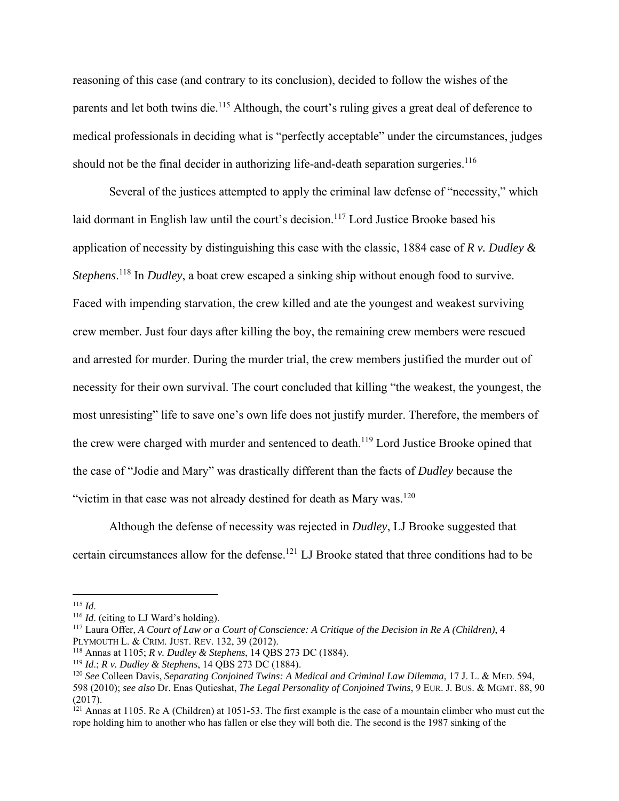reasoning of this case (and contrary to its conclusion), decided to follow the wishes of the parents and let both twins die.<sup>115</sup> Although, the court's ruling gives a great deal of deference to medical professionals in deciding what is "perfectly acceptable" under the circumstances, judges should not be the final decider in authorizing life-and-death separation surgeries.<sup>116</sup>

Several of the justices attempted to apply the criminal law defense of "necessity," which laid dormant in English law until the court's decision.<sup>117</sup> Lord Justice Brooke based his application of necessity by distinguishing this case with the classic, 1884 case of *R v. Dudley & Stephens*. 118 In *Dudley*, a boat crew escaped a sinking ship without enough food to survive. Faced with impending starvation, the crew killed and ate the youngest and weakest surviving crew member. Just four days after killing the boy, the remaining crew members were rescued and arrested for murder. During the murder trial, the crew members justified the murder out of necessity for their own survival. The court concluded that killing "the weakest, the youngest, the most unresisting" life to save one's own life does not justify murder. Therefore, the members of the crew were charged with murder and sentenced to death.<sup>119</sup> Lord Justice Brooke opined that the case of "Jodie and Mary" was drastically different than the facts of *Dudley* because the "victim in that case was not already destined for death as Mary was. $120$ 

Although the defense of necessity was rejected in *Dudley*, LJ Brooke suggested that certain circumstances allow for the defense.121 LJ Brooke stated that three conditions had to be

<sup>&</sup>lt;sup>115</sup> *Id*. (citing to LJ Ward's holding).

<sup>117</sup> Laura Offer, *A Court of Law or a Court of Conscience: A Critique of the Decision in Re A (Children)*, 4 PLYMOUTH L. & CRIM. JUST. REV. 132, 39 (2012).

<sup>118</sup> Annas at 1105; *R v. Dudley & Stephens*, 14 QBS 273 DC (1884).

<sup>119</sup> *Id*.; *R v. Dudley & Stephens*, 14 QBS 273 DC (1884).

<sup>120</sup> *See* Colleen Davis, *Separating Conjoined Twins: A Medical and Criminal Law Dilemma*, 17 J. L. & MED. 594, 598 (2010); *see also* Dr. Enas Qutieshat, *The Legal Personality of Conjoined Twins*, 9 EUR. J. BUS. & MGMT. 88, 90 (2017).

 $121$  Annas at 1105. Re A (Children) at 1051-53. The first example is the case of a mountain climber who must cut the rope holding him to another who has fallen or else they will both die. The second is the 1987 sinking of the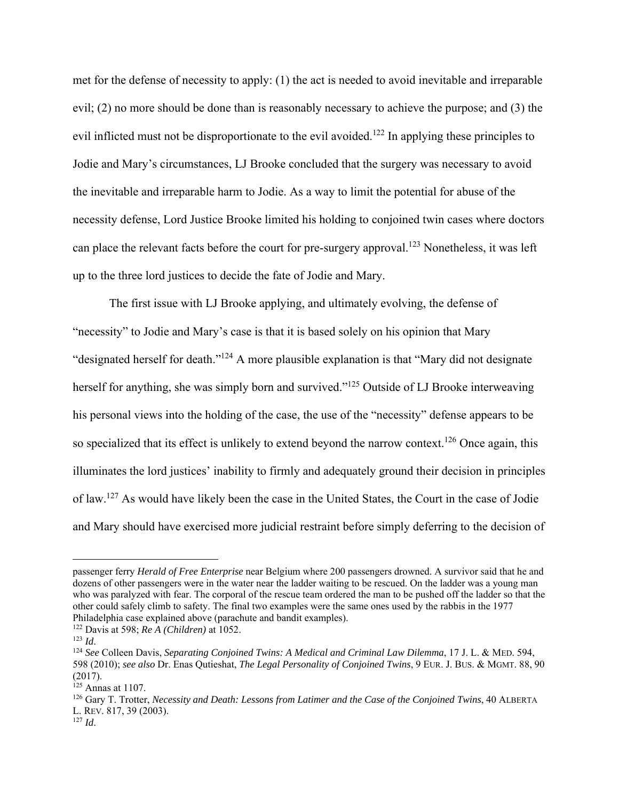met for the defense of necessity to apply: (1) the act is needed to avoid inevitable and irreparable evil; (2) no more should be done than is reasonably necessary to achieve the purpose; and (3) the evil inflicted must not be disproportionate to the evil avoided.<sup>122</sup> In applying these principles to Jodie and Mary's circumstances, LJ Brooke concluded that the surgery was necessary to avoid the inevitable and irreparable harm to Jodie. As a way to limit the potential for abuse of the necessity defense, Lord Justice Brooke limited his holding to conjoined twin cases where doctors can place the relevant facts before the court for pre-surgery approval.<sup>123</sup> Nonetheless, it was left up to the three lord justices to decide the fate of Jodie and Mary.

The first issue with LJ Brooke applying, and ultimately evolving, the defense of "necessity" to Jodie and Mary's case is that it is based solely on his opinion that Mary "designated herself for death."124 A more plausible explanation is that "Mary did not designate herself for anything, she was simply born and survived."<sup>125</sup> Outside of LJ Brooke interweaving his personal views into the holding of the case, the use of the "necessity" defense appears to be so specialized that its effect is unlikely to extend beyond the narrow context.<sup>126</sup> Once again, this illuminates the lord justices' inability to firmly and adequately ground their decision in principles of law.127 As would have likely been the case in the United States, the Court in the case of Jodie and Mary should have exercised more judicial restraint before simply deferring to the decision of

<sup>127</sup> *Id*.

passenger ferry *Herald of Free Enterprise* near Belgium where 200 passengers drowned. A survivor said that he and dozens of other passengers were in the water near the ladder waiting to be rescued. On the ladder was a young man who was paralyzed with fear. The corporal of the rescue team ordered the man to be pushed off the ladder so that the other could safely climb to safety. The final two examples were the same ones used by the rabbis in the 1977 Philadelphia case explained above (parachute and bandit examples). 122 Davis at 598; *Re A (Children)* at 1052.

<sup>123</sup> *Id*. 124 *See* Colleen Davis, *Separating Conjoined Twins: A Medical and Criminal Law Dilemma*, 17 J. L. & MED. 594, 598 (2010); *see also* Dr. Enas Qutieshat, *The Legal Personality of Conjoined Twins*, 9 EUR. J. BUS. & MGMT. 88, 90 (2017).

 $125$  Annas at 1107.

<sup>126</sup> Gary T. Trotter, *Necessity and Death: Lessons from Latimer and the Case of the Conjoined Twins*, 40 ALBERTA L. REV. 817, 39 (2003).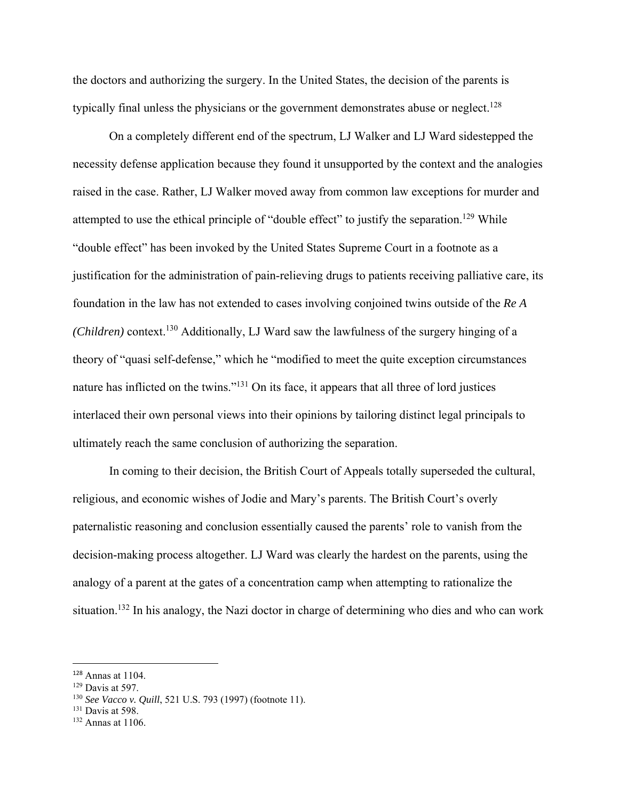the doctors and authorizing the surgery. In the United States, the decision of the parents is typically final unless the physicians or the government demonstrates abuse or neglect.<sup>128</sup>

On a completely different end of the spectrum, LJ Walker and LJ Ward sidestepped the necessity defense application because they found it unsupported by the context and the analogies raised in the case. Rather, LJ Walker moved away from common law exceptions for murder and attempted to use the ethical principle of "double effect" to justify the separation.<sup>129</sup> While "double effect" has been invoked by the United States Supreme Court in a footnote as a justification for the administration of pain-relieving drugs to patients receiving palliative care, its foundation in the law has not extended to cases involving conjoined twins outside of the *Re A (Children)* context.130 Additionally, LJ Ward saw the lawfulness of the surgery hinging of a theory of "quasi self-defense," which he "modified to meet the quite exception circumstances nature has inflicted on the twins."<sup>131</sup> On its face, it appears that all three of lord justices interlaced their own personal views into their opinions by tailoring distinct legal principals to ultimately reach the same conclusion of authorizing the separation.

In coming to their decision, the British Court of Appeals totally superseded the cultural, religious, and economic wishes of Jodie and Mary's parents. The British Court's overly paternalistic reasoning and conclusion essentially caused the parents' role to vanish from the decision-making process altogether. LJ Ward was clearly the hardest on the parents, using the analogy of a parent at the gates of a concentration camp when attempting to rationalize the situation.<sup>132</sup> In his analogy, the Nazi doctor in charge of determining who dies and who can work

<sup>131</sup> Davis at 598.

<sup>128</sup> Annas at 1104.

<sup>129</sup> Davis at 597.

<sup>130</sup> *See Vacco v. Quill*, 521 U.S. 793 (1997) (footnote 11).

<sup>132</sup> Annas at 1106.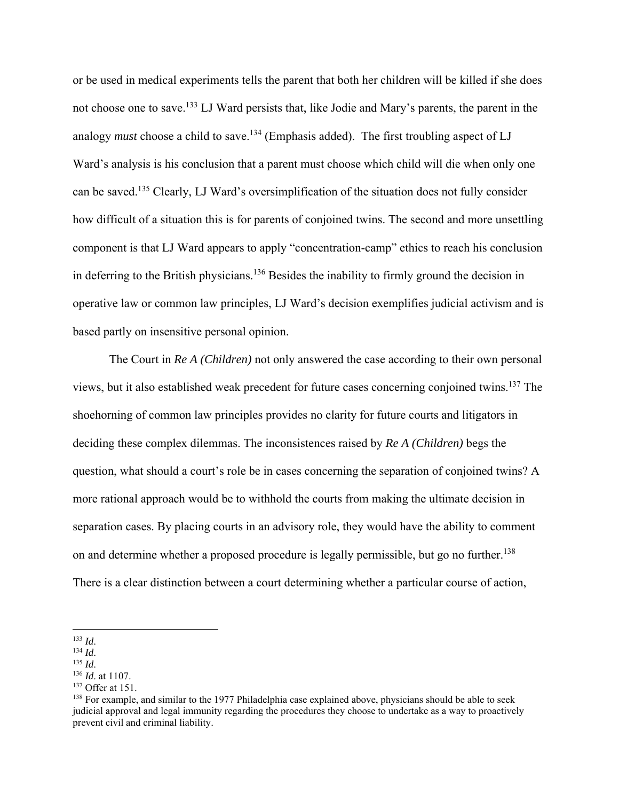or be used in medical experiments tells the parent that both her children will be killed if she does not choose one to save.<sup>133</sup> LJ Ward persists that, like Jodie and Mary's parents, the parent in the analogy *must* choose a child to save.<sup>134</sup> (Emphasis added). The first troubling aspect of LJ Ward's analysis is his conclusion that a parent must choose which child will die when only one can be saved.135 Clearly, LJ Ward's oversimplification of the situation does not fully consider how difficult of a situation this is for parents of conjoined twins. The second and more unsettling component is that LJ Ward appears to apply "concentration-camp" ethics to reach his conclusion in deferring to the British physicians.<sup>136</sup> Besides the inability to firmly ground the decision in operative law or common law principles, LJ Ward's decision exemplifies judicial activism and is based partly on insensitive personal opinion.

The Court in *Re A (Children)* not only answered the case according to their own personal views, but it also established weak precedent for future cases concerning conjoined twins.137 The shoehorning of common law principles provides no clarity for future courts and litigators in deciding these complex dilemmas. The inconsistences raised by *Re A (Children)* begs the question, what should a court's role be in cases concerning the separation of conjoined twins? A more rational approach would be to withhold the courts from making the ultimate decision in separation cases. By placing courts in an advisory role, they would have the ability to comment on and determine whether a proposed procedure is legally permissible, but go no further.<sup>138</sup> There is a clear distinction between a court determining whether a particular course of action,

<sup>133</sup> *Id*. 134 *Id*. 135 *Id*. 136 *Id*. at 1107. 137 Offer at 151.

<sup>&</sup>lt;sup>138</sup> For example, and similar to the 1977 Philadelphia case explained above, physicians should be able to seek judicial approval and legal immunity regarding the procedures they choose to undertake as a way to proactively prevent civil and criminal liability.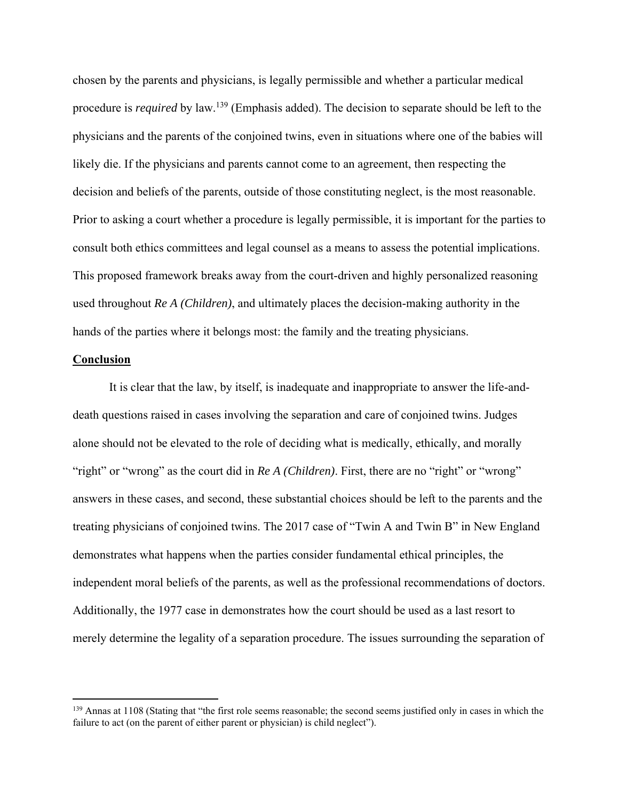chosen by the parents and physicians, is legally permissible and whether a particular medical procedure is *required* by law.<sup>139</sup> (Emphasis added). The decision to separate should be left to the physicians and the parents of the conjoined twins, even in situations where one of the babies will likely die. If the physicians and parents cannot come to an agreement, then respecting the decision and beliefs of the parents, outside of those constituting neglect, is the most reasonable. Prior to asking a court whether a procedure is legally permissible, it is important for the parties to consult both ethics committees and legal counsel as a means to assess the potential implications. This proposed framework breaks away from the court-driven and highly personalized reasoning used throughout *Re A (Children)*, and ultimately places the decision-making authority in the hands of the parties where it belongs most: the family and the treating physicians.

#### **Conclusion**

 It is clear that the law, by itself, is inadequate and inappropriate to answer the life-anddeath questions raised in cases involving the separation and care of conjoined twins. Judges alone should not be elevated to the role of deciding what is medically, ethically, and morally "right" or "wrong" as the court did in *Re A (Children)*. First, there are no "right" or "wrong" answers in these cases, and second, these substantial choices should be left to the parents and the treating physicians of conjoined twins. The 2017 case of "Twin A and Twin B" in New England demonstrates what happens when the parties consider fundamental ethical principles, the independent moral beliefs of the parents, as well as the professional recommendations of doctors. Additionally, the 1977 case in demonstrates how the court should be used as a last resort to merely determine the legality of a separation procedure. The issues surrounding the separation of

<sup>&</sup>lt;sup>139</sup> Annas at 1108 (Stating that "the first role seems reasonable; the second seems justified only in cases in which the failure to act (on the parent of either parent or physician) is child neglect").